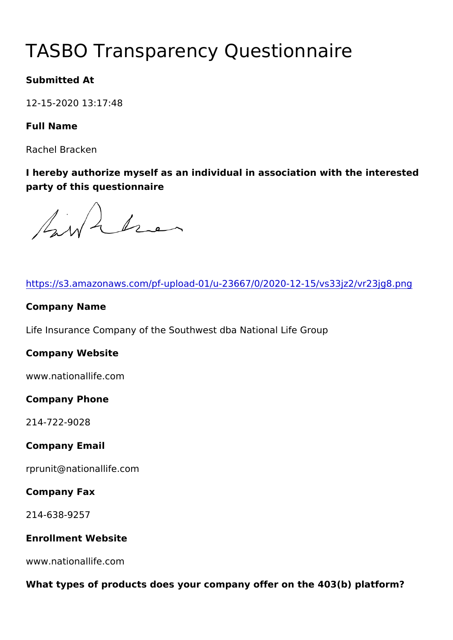# TASBO Transparency Questionna

Submitted At

12-15-2020 13:17:48

Full Name

Rachel Bracken

I hereby authorize myself as an individual in association with the party of this questionnaire

| https://s3.amazonaws.com/pf-upload-01/u-23667/0/2020-12-15/vs3   |
|------------------------------------------------------------------|
| Company Name                                                     |
| Life Insurance Company of the Southwest dba National Life Group  |
| Company Website                                                  |
| www.nationallife.com                                             |
| Company Phone                                                    |
| $214 - 722 - 9028$                                               |
| Company Email                                                    |
| rprunit@nationallife.com                                         |
| Company Fax                                                      |
| $214 - 638 - 9257$                                               |
| Enrollment Website                                               |
| www.nationallife.com                                             |
| What types of products does your company offer on the 403(b) pla |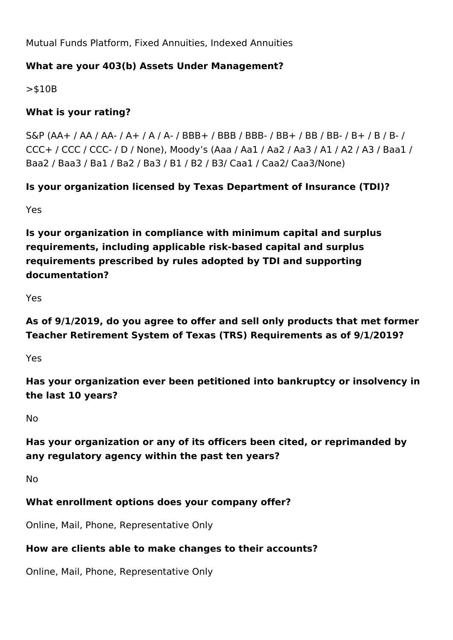Mutual Funds Platform, Fixed Annuities, Indexed Annuities

#### **What are your 403(b) Assets Under Management?**

>\$10B

#### **What is your rating?**

S&P (AA+ / AA / AA- / A+ / A / A- / BBB+ / BBB / BBB- / BB+ / BB / BB- / B+ / B / B- / CCC+ / CCC / CCC- / D / None), Moody's (Aaa / Aa1 / Aa2 / Aa3 / A1 / A2 / A3 / Baa1 / Baa2 / Baa3 / Ba1 / Ba2 / Ba3 / B1 / B2 / B3/ Caa1 / Caa2/ Caa3/None)

#### **Is your organization licensed by Texas Department of Insurance (TDI)?**

Yes

**Is your organization in compliance with minimum capital and surplus requirements, including applicable risk-based capital and surplus requirements prescribed by rules adopted by TDI and supporting documentation?**

Yes

**As of 9/1/2019, do you agree to offer and sell only products that met former Teacher Retirement System of Texas (TRS) Requirements as of 9/1/2019?**

Yes

**Has your organization ever been petitioned into bankruptcy or insolvency in the last 10 years?**

No

## **Has your organization or any of its officers been cited, or reprimanded by any regulatory agency within the past ten years?**

No

#### **What enrollment options does your company offer?**

Online, Mail, Phone, Representative Only

#### **How are clients able to make changes to their accounts?**

Online, Mail, Phone, Representative Only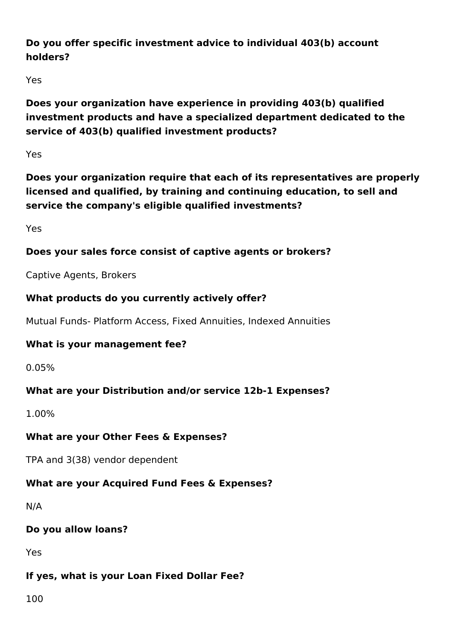## **Do you offer specific investment advice to individual 403(b) account holders?**

Yes

**Does your organization have experience in providing 403(b) qualified investment products and have a specialized department dedicated to the service of 403(b) qualified investment products?**

Yes

**Does your organization require that each of its representatives are properly licensed and qualified, by training and continuing education, to sell and service the company's eligible qualified investments?** 

Yes

## **Does your sales force consist of captive agents or brokers?**

Captive Agents, Brokers

## **What products do you currently actively offer?**

Mutual Funds- Platform Access, Fixed Annuities, Indexed Annuities

## **What is your management fee?**

0.05%

## **What are your Distribution and/or service 12b-1 Expenses?**

1.00%

## **What are your Other Fees & Expenses?**

TPA and 3(38) vendor dependent

## **What are your Acquired Fund Fees & Expenses?**

N/A

## **Do you allow loans?**

Yes

## **If yes, what is your Loan Fixed Dollar Fee?**

100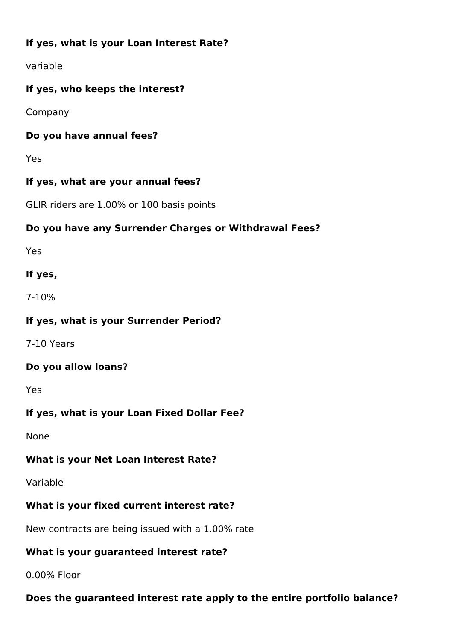## **If yes, what is your Loan Interest Rate?**

variable

#### **If yes, who keeps the interest?**

Company

#### **Do you have annual fees?**

Yes

#### **If yes, what are your annual fees?**

GLIR riders are 1.00% or 100 basis points

#### **Do you have any Surrender Charges or Withdrawal Fees?**

Yes

#### **If yes,**

7-10%

#### **If yes, what is your Surrender Period?**

7-10 Years

#### **Do you allow loans?**

Yes

#### **If yes, what is your Loan Fixed Dollar Fee?**

None

#### **What is your Net Loan Interest Rate?**

Variable

## **What is your fixed current interest rate?**

New contracts are being issued with a 1.00% rate

#### **What is your guaranteed interest rate?**

0.00% Floor

## **Does the guaranteed interest rate apply to the entire portfolio balance?**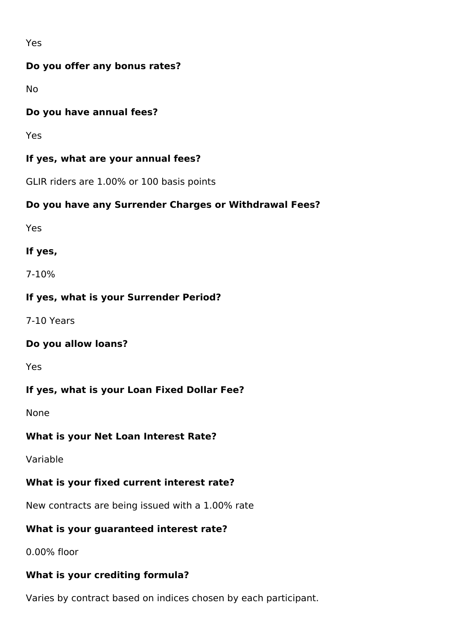Yes

#### **Do you offer any bonus rates?**

No

#### **Do you have annual fees?**

Yes

#### **If yes, what are your annual fees?**

GLIR riders are 1.00% or 100 basis points

#### **Do you have any Surrender Charges or Withdrawal Fees?**

Yes

#### **If yes,**

7-10%

#### **If yes, what is your Surrender Period?**

7-10 Years

#### **Do you allow loans?**

Yes

#### **If yes, what is your Loan Fixed Dollar Fee?**

None

#### **What is your Net Loan Interest Rate?**

Variable

#### **What is your fixed current interest rate?**

New contracts are being issued with a 1.00% rate

#### **What is your guaranteed interest rate?**

0.00% floor

#### **What is your crediting formula?**

Varies by contract based on indices chosen by each participant.